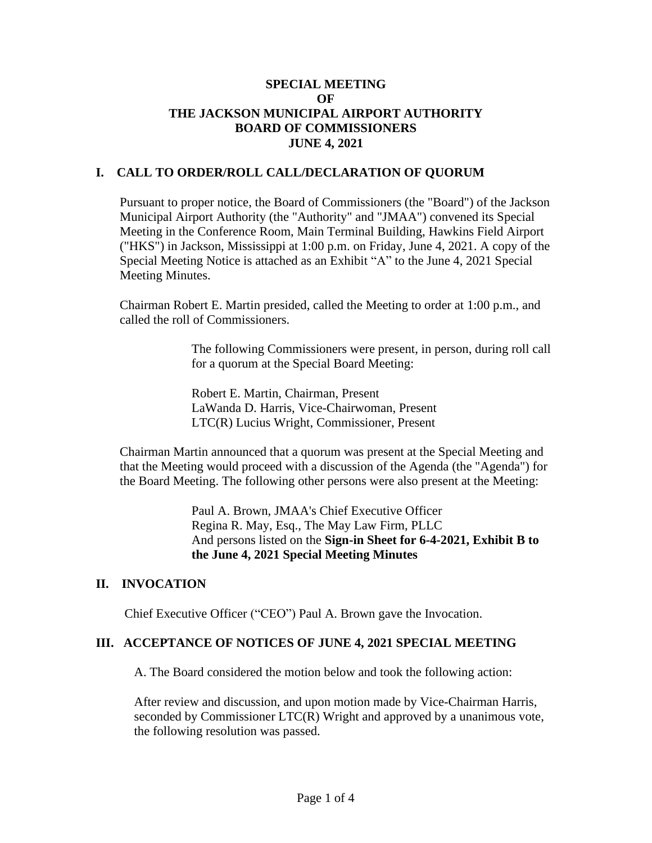## **SPECIAL MEETING OF THE JACKSON MUNICIPAL AIRPORT AUTHORITY BOARD OF COMMISSIONERS JUNE 4, 2021**

## **I. CALL TO ORDER/ROLL CALL/DECLARATION OF QUORUM**

Pursuant to proper notice, the Board of Commissioners (the "Board") of the Jackson Municipal Airport Authority (the "Authority" and "JMAA") convened its Special Meeting in the Conference Room, Main Terminal Building, Hawkins Field Airport ("HKS") in Jackson, Mississippi at 1:00 p.m. on Friday, June 4, 2021. A copy of the Special Meeting Notice is attached as an Exhibit "A" to the June 4, 2021 Special Meeting Minutes.

Chairman Robert E. Martin presided, called the Meeting to order at 1:00 p.m., and called the roll of Commissioners.

> The following Commissioners were present, in person, during roll call for a quorum at the Special Board Meeting:

Robert E. Martin, Chairman, Present LaWanda D. Harris, Vice-Chairwoman, Present LTC(R) Lucius Wright, Commissioner, Present

Chairman Martin announced that a quorum was present at the Special Meeting and that the Meeting would proceed with a discussion of the Agenda (the "Agenda") for the Board Meeting. The following other persons were also present at the Meeting:

> Paul A. Brown, JMAA's Chief Executive Officer Regina R. May, Esq., The May Law Firm, PLLC And persons listed on the **Sign-in Sheet for 6-4-2021, Exhibit B to the June 4, 2021 Special Meeting Minutes**

#### **II. INVOCATION**

Chief Executive Officer ("CEO") Paul A. Brown gave the Invocation.

#### **III. ACCEPTANCE OF NOTICES OF JUNE 4, 2021 SPECIAL MEETING**

A. The Board considered the motion below and took the following action:

After review and discussion, and upon motion made by Vice-Chairman Harris, seconded by Commissioner LTC(R) Wright and approved by a unanimous vote, the following resolution was passed.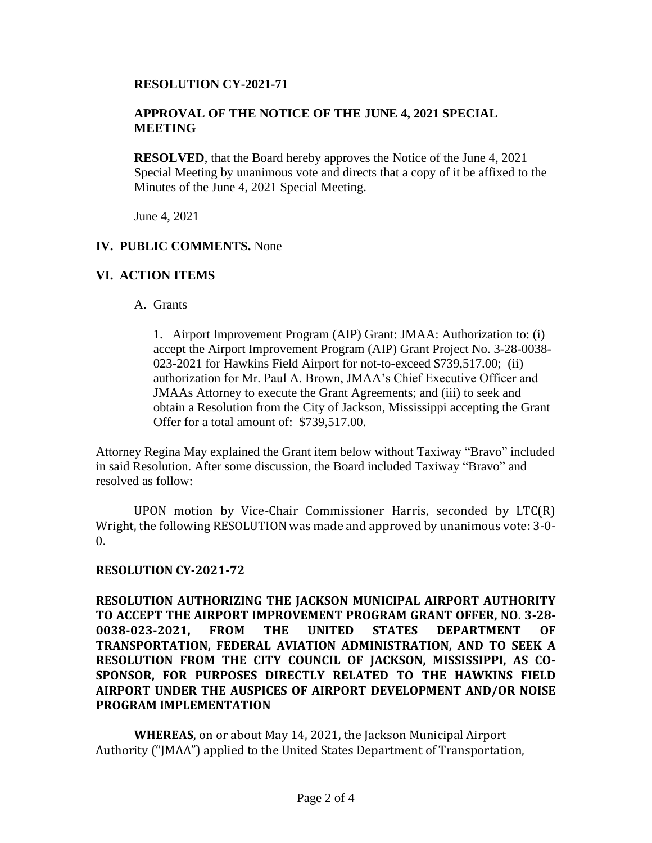## **RESOLUTION CY-2021-71**

## **APPROVAL OF THE NOTICE OF THE JUNE 4, 2021 SPECIAL MEETING**

**RESOLVED**, that the Board hereby approves the Notice of the June 4, 2021 Special Meeting by unanimous vote and directs that a copy of it be affixed to the Minutes of the June 4, 2021 Special Meeting.

June 4, 2021

### **IV. PUBLIC COMMENTS.** None

## **VI. ACTION ITEMS**

### A. Grants

1. Airport Improvement Program (AIP) Grant: JMAA: Authorization to: (i) accept the Airport Improvement Program (AIP) Grant Project No. 3-28-0038- 023-2021 for Hawkins Field Airport for not-to-exceed \$739,517.00; (ii) authorization for Mr. Paul A. Brown, JMAA's Chief Executive Officer and JMAAs Attorney to execute the Grant Agreements; and (iii) to seek and obtain a Resolution from the City of Jackson, Mississippi accepting the Grant Offer for a total amount of: \$739,517.00.

Attorney Regina May explained the Grant item below without Taxiway "Bravo" included in said Resolution. After some discussion, the Board included Taxiway "Bravo" and resolved as follow:

UPON motion by Vice-Chair Commissioner Harris, seconded by LTC(R) Wright, the following RESOLUTION was made and approved by unanimous vote: 3-0-  $\theta$ .

# **RESOLUTION CY-2021-72**

**RESOLUTION AUTHORIZING THE JACKSON MUNICIPAL AIRPORT AUTHORITY TO ACCEPT THE AIRPORT IMPROVEMENT PROGRAM GRANT OFFER, NO. 3-28- 0038-023-2021, FROM THE UNITED STATES DEPARTMENT OF TRANSPORTATION, FEDERAL AVIATION ADMINISTRATION, AND TO SEEK A RESOLUTION FROM THE CITY COUNCIL OF JACKSON, MISSISSIPPI, AS CO-SPONSOR, FOR PURPOSES DIRECTLY RELATED TO THE HAWKINS FIELD AIRPORT UNDER THE AUSPICES OF AIRPORT DEVELOPMENT AND/OR NOISE PROGRAM IMPLEMENTATION**

**WHEREAS**, on or about May 14, 2021, the Jackson Municipal Airport Authority ("JMAA") applied to the United States Department of Transportation,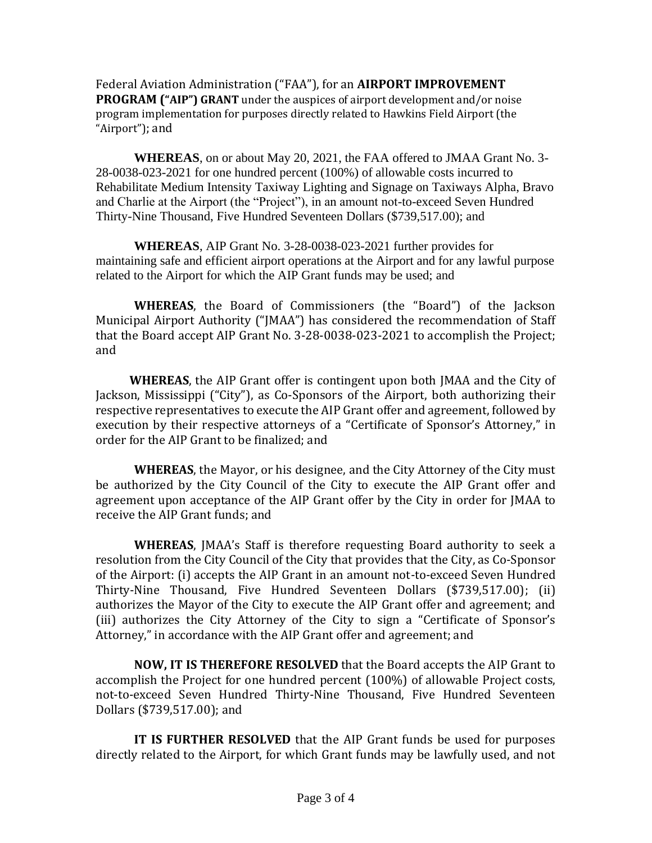Federal Aviation Administration ("FAA"), for an **AIRPORT IMPROVEMENT PROGRAM ("AIP") GRANT** under the auspices of airport development and/or noise program implementation for purposes directly related to Hawkins Field Airport (the "Airport"); and

**WHEREAS**, on or about May 20, 2021, the FAA offered to JMAA Grant No. 3- 28-0038-023-2021 for one hundred percent (100%) of allowable costs incurred to Rehabilitate Medium Intensity Taxiway Lighting and Signage on Taxiways Alpha, Bravo and Charlie at the Airport (the "Project"), in an amount not-to-exceed Seven Hundred Thirty-Nine Thousand, Five Hundred Seventeen Dollars (\$739,517.00); and

**WHEREAS**, AIP Grant No. 3-28-0038-023-2021 further provides for maintaining safe and efficient airport operations at the Airport and for any lawful purpose related to the Airport for which the AIP Grant funds may be used; and

**WHEREAS**, the Board of Commissioners (the "Board") of the Jackson Municipal Airport Authority ("JMAA") has considered the recommendation of Staff that the Board accept AIP Grant No. 3-28-0038-023-2021 to accomplish the Project; and

**WHEREAS**, the AIP Grant offer is contingent upon both JMAA and the City of Jackson, Mississippi ("City"), as Co-Sponsors of the Airport, both authorizing their respective representatives to execute the AIP Grant offer and agreement, followed by execution by their respective attorneys of a "Certificate of Sponsor's Attorney," in order for the AIP Grant to be finalized; and

**WHEREAS**, the Mayor, or his designee, and the City Attorney of the City must be authorized by the City Council of the City to execute the AIP Grant offer and agreement upon acceptance of the AIP Grant offer by the City in order for JMAA to receive the AIP Grant funds; and

**WHEREAS**, JMAA's Staff is therefore requesting Board authority to seek a resolution from the City Council of the City that provides that the City, as Co-Sponsor of the Airport: (i) accepts the AIP Grant in an amount not-to-exceed Seven Hundred Thirty-Nine Thousand, Five Hundred Seventeen Dollars (\$739,517.00); (ii) authorizes the Mayor of the City to execute the AIP Grant offer and agreement; and (iii) authorizes the City Attorney of the City to sign a "Certificate of Sponsor's Attorney," in accordance with the AIP Grant offer and agreement; and

**NOW, IT IS THEREFORE RESOLVED** that the Board accepts the AIP Grant to accomplish the Project for one hundred percent (100%) of allowable Project costs, not-to-exceed Seven Hundred Thirty-Nine Thousand, Five Hundred Seventeen Dollars (\$739,517.00); and

**IT IS FURTHER RESOLVED** that the AIP Grant funds be used for purposes directly related to the Airport, for which Grant funds may be lawfully used, and not